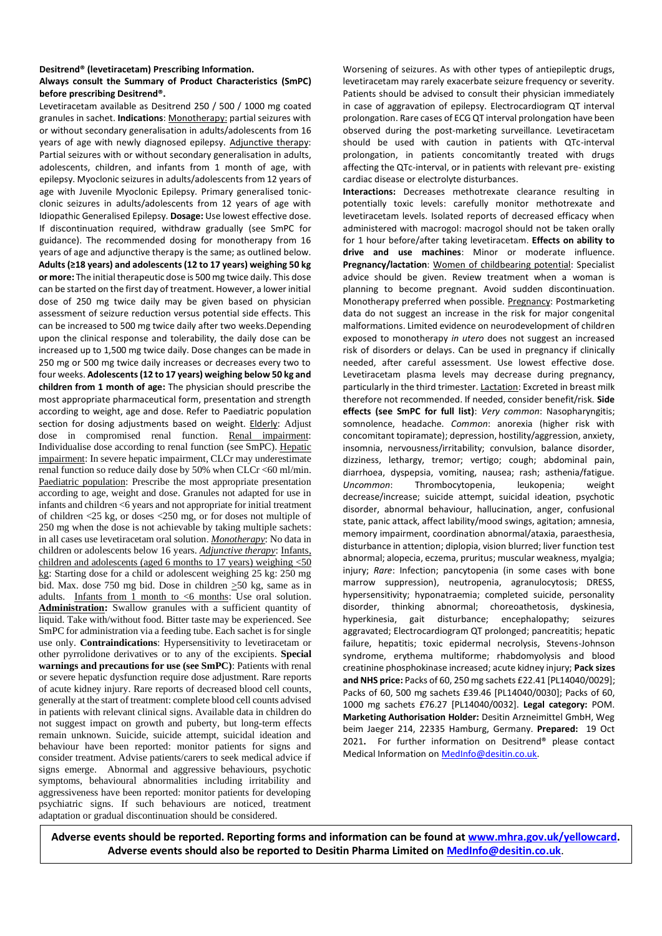# **Desitrend® (levetiracetam) Prescribing Information.**

## **Always consult the Summary of Product Characteristics (SmPC) before prescribing Desitrend®.**

Levetiracetam available as Desitrend 250 / 500 / 1000 mg coated granules in sachet. **Indications**: Monotherapy: partial seizures with or without secondary generalisation in adults/adolescents from 16 years of age with newly diagnosed epilepsy. Adjunctive therapy: Partial seizures with or without secondary generalisation in adults, adolescents, children, and infants from 1 month of age, with epilepsy. Myoclonic seizures in adults/adolescents from 12 years of age with Juvenile Myoclonic Epilepsy. Primary generalised tonicclonic seizures in adults/adolescents from 12 years of age with Idiopathic Generalised Epilepsy. **Dosage:** Use lowest effective dose. If discontinuation required, withdraw gradually (see SmPC for guidance). The recommended dosing for monotherapy from 16 years of age and adjunctive therapy is the same; as outlined below. **Adults (≥18 years) and adolescents (12 to 17 years) weighing 50 kg or more:** The initial therapeutic dose is 500 mg twice daily. This dose can be started on the first day of treatment. However, a lower initial dose of 250 mg twice daily may be given based on physician assessment of seizure reduction versus potential side effects. This can be increased to 500 mg twice daily after two weeks.Depending upon the clinical response and tolerability, the daily dose can be increased up to 1,500 mg twice daily. Dose changes can be made in 250 mg or 500 mg twice daily increases or decreases every two to four weeks. **Adolescents (12 to 17 years) weighing below 50 kg and children from 1 month of age:** The physician should prescribe the most appropriate pharmaceutical form, presentation and strength according to weight, age and dose. Refer to Paediatric population section for dosing adjustments based on weight. Elderly: Adjust dose in compromised renal function. Renal impairment: Individualise dose according to renal function (see SmPC). Hepatic impairment: In severe hepatic impairment, CLCr may underestimate renal function so reduce daily dose by 50% when CLCr <60 ml/min. Paediatric population: Prescribe the most appropriate presentation according to age, weight and dose. Granules not adapted for use in infants and children <6 years and not appropriate for initial treatment of children <25 kg, or doses <250 mg, or for doses not multiple of 250 mg when the dose is not achievable by taking multiple sachets: in all cases use levetiracetam oral solution. *Monotherapy*: No data in children or adolescents below 16 years. *Adjunctive therapy*: Infants, children and adolescents (aged 6 months to 17 years) weighing <50 kg: Starting dose for a child or adolescent weighing 25 kg: 250 mg bid. Max. dose 750 mg bid. Dose in children  $\geq$ 50 kg, same as in adults. Infants from 1 month to <6 months: Use oral solution. **Administration:** Swallow granules with a sufficient quantity of liquid. Take with/without food. Bitter taste may be experienced. See SmPC for administration via a feeding tube. Each sachet is for single use only. **Contraindications**: Hypersensitivity to levetiracetam or other pyrrolidone derivatives or to any of the excipients. **Special warnings and precautions for use (see SmPC)**: Patients with renal or severe hepatic dysfunction require dose adjustment. Rare reports of acute kidney injury. Rare reports of decreased blood cell counts, generally at the start of treatment: complete blood cell counts advised in patients with relevant clinical signs. Available data in children do not suggest impact on growth and puberty, but long-term effects remain unknown. Suicide, suicide attempt, suicidal ideation and behaviour have been reported: monitor patients for signs and consider treatment. Advise patients/carers to seek medical advice if signs emerge. Abnormal and aggressive behaviours, psychotic symptoms, behavioural abnormalities including irritability and aggressiveness have been reported: monitor patients for developing psychiatric signs. If such behaviours are noticed, treatment adaptation or gradual discontinuation should be considered.

Worsening of seizures. As with other types of antiepileptic drugs, levetiracetam may rarely exacerbate seizure frequency or severity. Patients should be advised to consult their physician immediately in case of aggravation of epilepsy. Electrocardiogram QT interval prolongation. Rare cases of ECG QT interval prolongation have been observed during the post-marketing surveillance. Levetiracetam should be used with caution in patients with QTc-interval prolongation, in patients concomitantly treated with drugs affecting the QTc-interval, or in patients with relevant pre- existing cardiac disease or electrolyte disturbances.

**Interactions:** Decreases methotrexate clearance resulting in potentially toxic levels: carefully monitor methotrexate and levetiracetam levels. Isolated reports of decreased efficacy when administered with macrogol: macrogol should not be taken orally for 1 hour before/after taking levetiracetam. **Effects on ability to drive and use machines**: Minor or moderate influence. **Pregnancy/lactation**: Women of childbearing potential: Specialist advice should be given. Review treatment when a woman is planning to become pregnant. Avoid sudden discontinuation. Monotherapy preferred when possible. Pregnancy: Postmarketing data do not suggest an increase in the risk for major congenital malformations. Limited evidence on neurodevelopment of children exposed to monotherapy *in utero* does not suggest an increased risk of disorders or delays. Can be used in pregnancy if clinically needed, after careful assessment. Use lowest effective dose. Levetiracetam plasma levels may decrease during pregnancy, particularly in the third trimester. Lactation: Excreted in breast milk therefore not recommended. If needed, consider benefit/risk. **Side effects (see SmPC for full list)**: *Very common*: Nasopharyngitis; somnolence, headache. *Common*: anorexia (higher risk with concomitant topiramate); depression, hostility/aggression, anxiety, insomnia, nervousness/irritability; convulsion, balance disorder, dizziness, lethargy, tremor; vertigo; cough; abdominal pain, diarrhoea, dyspepsia, vomiting, nausea; rash; asthenia/fatigue. *Uncommon*: Thrombocytopenia, leukopenia; weight decrease/increase; suicide attempt, suicidal ideation, psychotic disorder, abnormal behaviour, hallucination, anger, confusional state, panic attack, affect lability/mood swings, agitation; amnesia, memory impairment, coordination abnormal/ataxia, paraesthesia, disturbance in attention; diplopia, vision blurred; liver function test abnormal; alopecia, eczema, pruritus; muscular weakness, myalgia; injury; *Rare*: Infection; pancytopenia (in some cases with bone marrow suppression), neutropenia, agranulocytosis; DRESS, hypersensitivity; hyponatraemia; completed suicide, personality disorder, thinking abnormal; choreoathetosis, dyskinesia, hyperkinesia, gait disturbance; encephalopathy; seizures aggravated; Electrocardiogram QT prolonged; pancreatitis; hepatic failure, hepatitis; toxic epidermal necrolysis, Stevens-Johnson syndrome, erythema multiforme; rhabdomyolysis and blood creatinine phosphokinase increased; acute kidney injury; **Pack sizes and NHS price:** Packs of 60, 250 mg sachets £22.41 [PL14040/0029]; Packs of 60, 500 mg sachets £39.46 [PL14040/0030]; Packs of 60, 1000 mg sachets £76.27 [PL14040/0032]. **Legal category:** POM. **Marketing Authorisation Holder:** Desitin Arzneimittel GmbH, Weg beim Jaeger 214, 22335 Hamburg, Germany. **Prepared:** 19 Oct 2021**.** For further information on Desitrend® please contact Medical Information o[n MedInfo@desitin.co.uk.](mailto:MedInfo@desitin.co.uk)

**Adverse events should be reported. Reporting forms and information can be found at [www.mhra.gov.uk/yellowcard.](http://www.mhra.gov.uk/yellowcard) Adverse events should also be reported to Desitin Pharma Limited o[n MedInfo@desitin.co.uk](mailto:MedInfo@desitin.co.uk)**.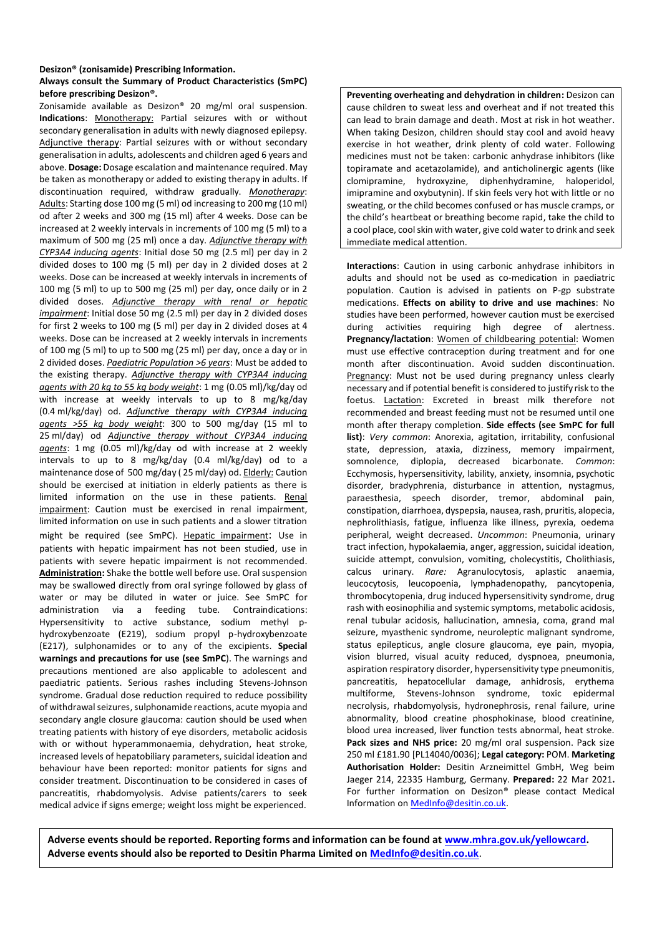#### **Desizon® (zonisamide) Prescribing Information.**

### **Always consult the Summary of Product Characteristics (SmPC) before prescribing Desizon®.**

Zonisamide available as Desizon® 20 mg/ml oral suspension. **Indications**: Monotherapy: Partial seizures with or without secondary generalisation in adults with newly diagnosed epilepsy. Adjunctive therapy: Partial seizures with or without secondary generalisation in adults, adolescents and children aged 6 years and above. **Dosage:** Dosage escalation and maintenance required. May be taken as monotherapy or added to existing therapy in adults. If discontinuation required, withdraw gradually. *Monotherapy*: Adults: Starting dose 100 mg (5 ml) od increasing to 200 mg (10 ml) od after 2 weeks and 300 mg (15 ml) after 4 weeks. Dose can be increased at 2 weekly intervals in increments of 100 mg (5 ml) to a maximum of 500 mg (25 ml) once a day. *Adjunctive therapy with CYP3A4 inducing agents*: Initial dose 50 mg (2.5 ml) per day in 2 divided doses to 100 mg (5 ml) per day in 2 divided doses at 2 weeks. Dose can be increased at weekly intervals in increments of 100 mg (5 ml) to up to 500 mg (25 ml) per day, once daily or in 2 divided doses. *Adjunctive therapy with renal or hepatic impairment*: Initial dose 50 mg (2.5 ml) per day in 2 divided doses for first 2 weeks to 100 mg (5 ml) per day in 2 divided doses at 4 weeks. Dose can be increased at 2 weekly intervals in increments of 100 mg (5 ml) to up to 500 mg (25 ml) per day, once a day or in 2 divided doses. *Paediatric Population >6 years*: Must be added to the existing therapy. *Adjunctive therapy with CYP3A4 inducing agents with 20 kg to 55 kg body weight*: 1 mg (0.05 ml)/kg/day od with increase at weekly intervals to up to 8 mg/kg/day (0.4 ml/kg/day) od. *Adjunctive therapy with CYP3A4 inducing agents >55 kg body weight*: 300 to 500 mg/day (15 ml to 25 ml/day) od *Adjunctive therapy without CYP3A4 inducing agents*: 1 mg (0.05 ml)/kg/day od with increase at 2 weekly intervals to up to 8 mg/kg/day (0.4 ml/kg/day) od to a maintenance dose of 500 mg/day ( 25 ml/day) od. Elderly: Caution should be exercised at initiation in elderly patients as there is limited information on the use in these patients. Renal impairment: Caution must be exercised in renal impairment, limited information on use in such patients and a slower titration might be required (see SmPC). Hepatic impairment: Use in patients with hepatic impairment has not been studied, use in patients with severe hepatic impairment is not recommended. **Administration:** Shake the bottle well before use. Oral suspension may be swallowed directly from oral syringe followed by glass of water or may be diluted in water or juice. See SmPC for administration via a feeding tube. Contraindications: Hypersensitivity to active substance, sodium methyl phydroxybenzoate (E219), sodium propyl p-hydroxybenzoate (E217), sulphonamides or to any of the excipients. **Special warnings and precautions for use (see SmPC**). The warnings and precautions mentioned are also applicable to adolescent and paediatric patients. Serious rashes including Stevens-Johnson syndrome. Gradual dose reduction required to reduce possibility of withdrawal seizures, sulphonamide reactions, acute myopia and secondary angle closure glaucoma: caution should be used when treating patients with history of eye disorders, metabolic acidosis with or without hyperammonaemia, dehydration, heat stroke, increased levels of hepatobiliary parameters, suicidal ideation and behaviour have been reported: monitor patients for signs and consider treatment. Discontinuation to be considered in cases of pancreatitis, rhabdomyolysis. Advise patients/carers to seek medical advice if signs emerge; weight loss might be experienced.

**Preventing overheating and dehydration in children:** Desizon can cause children to sweat less and overheat and if not treated this can lead to brain damage and death. Most at risk in hot weather. When taking Desizon, children should stay cool and avoid heavy exercise in hot weather, drink plenty of cold water. Following medicines must not be taken: carbonic anhydrase inhibitors (like topiramate and acetazolamide), and anticholinergic agents (like clomipramine, hydroxyzine, diphenhydramine, haloperidol, imipramine and oxybutynin). If skin feels very hot with little or no sweating, or the child becomes confused or has muscle cramps, or the child's heartbeat or breathing become rapid, take the child to a cool place, cool skin with water, give cold water to drink and seek immediate medical attention.

**Interactions**: Caution in using carbonic anhydrase inhibitors in adults and should not be used as co-medication in paediatric population. Caution is advised in patients on P-gp substrate medications. **Effects on ability to drive and use machines**: No studies have been performed, however caution must be exercised during activities requiring high degree of alertness. **Pregnancy/lactation**: Women of childbearing potential: Women must use effective contraception during treatment and for one month after discontinuation. Avoid sudden discontinuation. Pregnancy: Must not be used during pregnancy unless clearly necessary and if potential benefit is considered to justify risk to the foetus. Lactation: Excreted in breast milk therefore not recommended and breast feeding must not be resumed until one month after therapy completion. **Side effects (see SmPC for full list)**: *Very common*: Anorexia, agitation, irritability, confusional state, depression, ataxia, dizziness, memory impairment, somnolence, diplopia, decreased bicarbonate. *Common*: Ecchymosis, hypersensitivity, lability, anxiety, insomnia, psychotic disorder, bradyphrenia, disturbance in attention, nystagmus, paraesthesia, speech disorder, tremor, abdominal pain, constipation, diarrhoea, dyspepsia, nausea, rash, pruritis, alopecia, nephrolithiasis, fatigue, influenza like illness, pyrexia, oedema peripheral, weight decreased. *Uncommon*: Pneumonia, urinary tract infection, hypokalaemia, anger, aggression, suicidal ideation, suicide attempt, convulsion, vomiting, cholecystitis, Cholithiasis, calcus urinary. *Rare:* Agranulocytosis, aplastic anaemia, leucocytosis, leucopoenia, lymphadenopathy, pancytopenia, thrombocytopenia, drug induced hypersensitivity syndrome, drug rash with eosinophilia and systemic symptoms, metabolic acidosis, renal tubular acidosis, hallucination, amnesia, coma, grand mal seizure, myasthenic syndrome, neuroleptic malignant syndrome, status epilepticus, angle closure glaucoma, eye pain, myopia, vision blurred, visual acuity reduced, dyspnoea, pneumonia, aspiration respiratory disorder, hypersensitivity type pneumonitis, pancreatitis, hepatocellular damage, anhidrosis, erythema multiforme, Stevens-Johnson syndrome, toxic epidermal necrolysis, rhabdomyolysis, hydronephrosis, renal failure, urine abnormality, blood creatine phosphokinase, blood creatinine, blood urea increased, liver function tests abnormal, heat stroke. **Pack sizes and NHS price:** 20 mg/ml oral suspension. Pack size 250 ml £181.90 [PL14040/0036]; **Legal category:** POM. **Marketing Authorisation Holder:** Desitin Arzneimittel GmbH, Weg beim Jaeger 214, 22335 Hamburg, Germany. **Prepared:** 22 Mar 2021**.** For further information on Desizon® please contact Medical Information o[n MedInfo@desitin.co.uk.](mailto:MedInfo@desitin.co.uk)

**Adverse events should be reported. Reporting forms and information can be found at [www.mhra.gov.uk/yellowcard.](http://www.mhra.gov.uk/yellowcard) Adverse events should also be reported to Desitin Pharma Limited on [MedInfo@desitin.co.uk](mailto:MedInfo@desitin.co.uk)**.